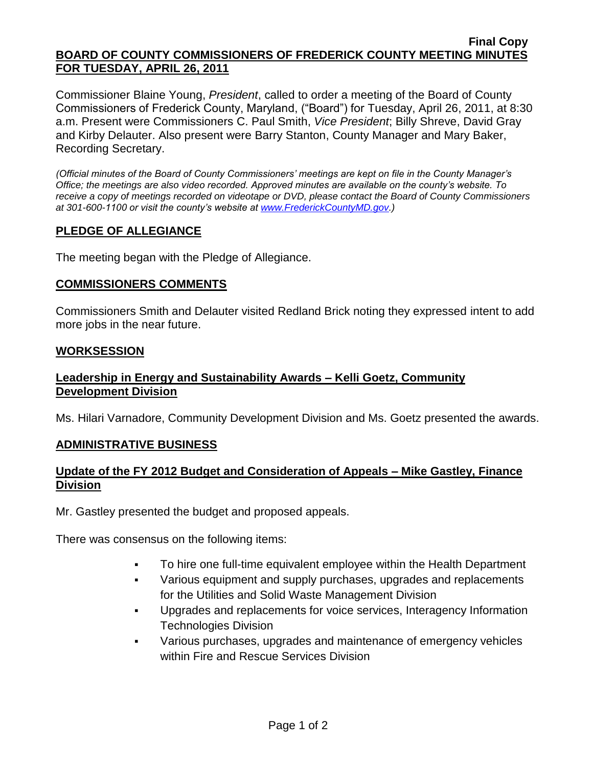#### **Final Copy BOARD OF COUNTY COMMISSIONERS OF FREDERICK COUNTY MEETING MINUTES FOR TUESDAY, APRIL 26, 2011**

Commissioner Blaine Young, *President*, called to order a meeting of the Board of County Commissioners of Frederick County, Maryland, ("Board") for Tuesday, April 26, 2011, at 8:30 a.m. Present were Commissioners C. Paul Smith, *Vice President*; Billy Shreve, David Gray and Kirby Delauter. Also present were Barry Stanton, County Manager and Mary Baker, Recording Secretary.

*(Official minutes of the Board of County Commissioners' meetings are kept on file in the County Manager's Office; the meetings are also video recorded. Approved minutes are available on the county's website. To receive a copy of meetings recorded on videotape or DVD, please contact the Board of County Commissioners at 301-600-1100 or visit the county's website at [www.FrederickCountyMD.gov.](http://www.frederickcountymd.gov/))*

# **PLEDGE OF ALLEGIANCE**

The meeting began with the Pledge of Allegiance.

### **COMMISSIONERS COMMENTS**

Commissioners Smith and Delauter visited Redland Brick noting they expressed intent to add more jobs in the near future.

#### **WORKSESSION**

## **Leadership in Energy and Sustainability Awards – Kelli Goetz, Community Development Division**

Ms. Hilari Varnadore, Community Development Division and Ms. Goetz presented the awards.

### **ADMINISTRATIVE BUSINESS**

### **Update of the FY 2012 Budget and Consideration of Appeals – Mike Gastley, Finance Division**

Mr. Gastley presented the budget and proposed appeals.

There was consensus on the following items:

- To hire one full-time equivalent employee within the Health Department
- Various equipment and supply purchases, upgrades and replacements for the Utilities and Solid Waste Management Division
- Upgrades and replacements for voice services, Interagency Information Technologies Division
- Various purchases, upgrades and maintenance of emergency vehicles within Fire and Rescue Services Division